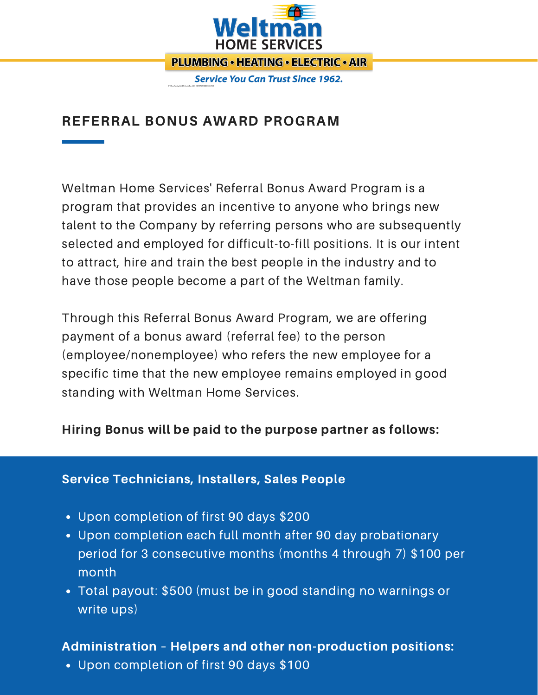

**Service You Can Trust Since 1962.** 

# REFERRAL BONUS AWARD PROGRAM

Weltman Home Services' Referral Bonus Award Program is a program that provides an incentive to anyone who brings new talent to the Company by referring persons who are subsequently selected and employed for difficult-to-fill positions. It is our intent to attract, hire and train the best people in the industry and to have those people become a part of the Weltman family.

Through this Referral Bonus Award Program, we are offering payment of a bonus award (referral fee) to the person (employee/nonemployee) who refers the new employee for a specific time that the new employee remains employed in good standing with Weltman Home Services.

### Hiring Bonus will be paid to the purpose partner as follows:

#### Service Technicians, Installers, Sales People

- Upon completion of first 90 days \$200
- Upon completion each full month after 90 day probationary period for 3 consecutive months (months 4 through 7) \$100 per month
- Total payout: \$500 (must be in good standing no warnings or write ups)

### Administration – Helpers and other non-production positions:

Upon completion of first 90 days \$100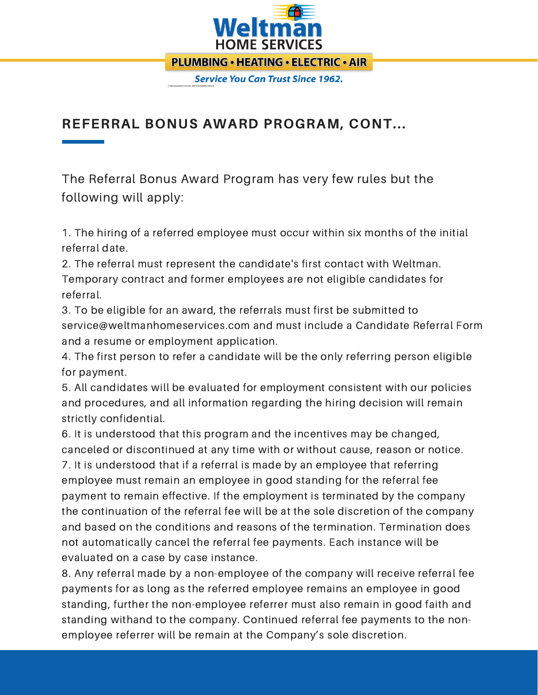

**PLUMBING • HEATING • ELECTRIC • AIR** 

**Service You Can Trust Since 1962.** 

## REFERRAL BONUS AWARD PROGRAM, CONT...

The Referral Bonus Award Program has very few rules but the following will apply:

1. The hiring of a referred employee must occur within six months of the initial referral date.

2. The referral must represent the candidate's first contact with Weltman. Temporary contract and former employees are not eligible candidates for referral.

3. To be eligible for an award, the referrals must first be submitted to service@weltmanhomeservices.com and must include a Candidate Referral Form and a resume or employment application.

4. The first person to refer a candidate will be the only referring person eligible for payment.

5. All candidates will be evaluated for employment consistent with our policies and procedures, and all information regarding the hiring decision will remain strictly confidential.

6. It is understood that this program and the incentives may be changed, canceled or discontinued at any time with or without cause, reason or notice. 7. It is understood that if a referral is made by an employee that referring employee must remain an employee in good standing for the referral fee payment to remain effective. If the employment is terminated by the company the continuation of the referral fee will be at the sole discretion of the company and based on the conditions and reasons of the termination. Termination does not automatically cancel the referral fee payments. Each instance will be evaluated on a case by case instance.

8. Any referral made by a non-employee of the company will receive referral fee payments for as long as the referred employee remains an employee in good standing, further the non-employee referrer must also remain in good faith and standing withand to the company. Continued referral fee payments to the nonemployee referrer will be remain at the Company's sole discretion.